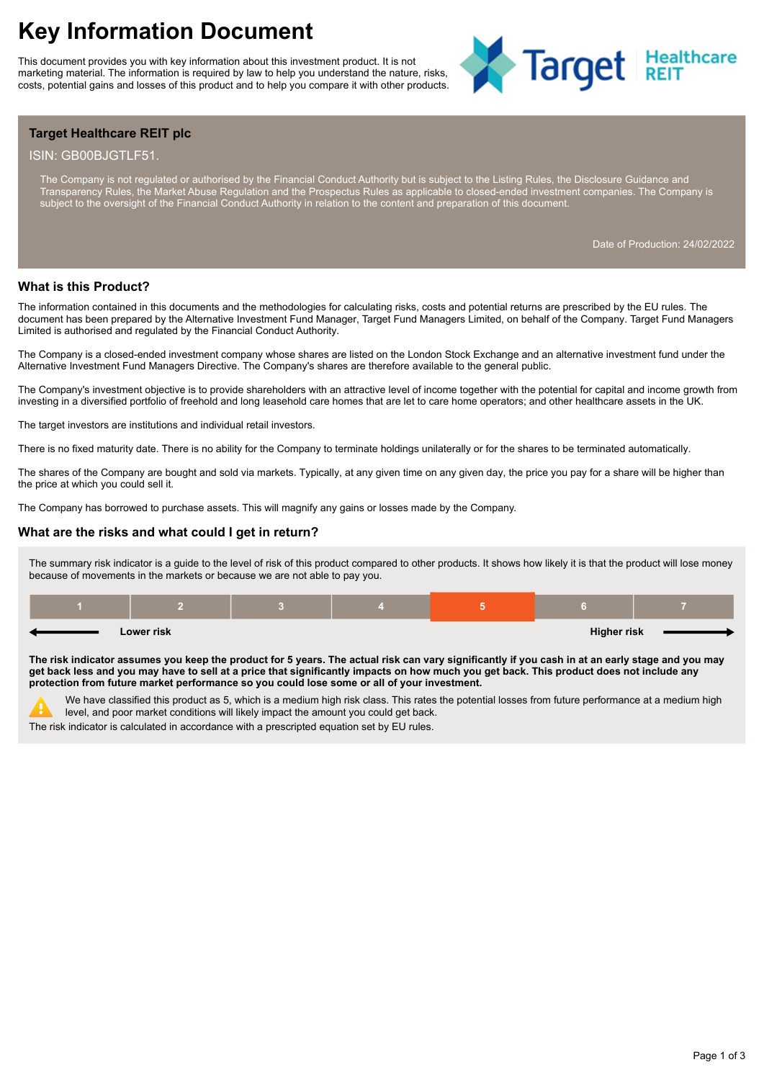# **Key Information Document**

This document provides you with key information about this investment product. It is not marketing material. The information is required by law to help you understand the nature, risks, costs, potential gains and losses of this product and to help you compare it with other products.



# **Target Healthcare REIT plc**

#### ISIN: GB00BJGTLF51.

The Company is not regulated or authorised by the Financial Conduct Authority but is subject to the Listing Rules, the Disclosure Guidance and Transparency Rules, the Market Abuse Regulation and the Prospectus Rules as applicable to closed-ended investment companies. The Company is subject to the oversight of the Financial Conduct Authority in relation to the content and preparation of this document.

Date of Production: 24/02/2022

#### **What is this Product?**

The information contained in this documents and the methodologies for calculating risks, costs and potential returns are prescribed by the EU rules. The document has been prepared by the Alternative Investment Fund Manager, Target Fund Managers Limited, on behalf of the Company. Target Fund Managers Limited is authorised and regulated by the Financial Conduct Authority.

The Company is a closed-ended investment company whose shares are listed on the London Stock Exchange and an alternative investment fund under the Alternative Investment Fund Managers Directive. The Company's shares are therefore available to the general public.

The Company's investment objective is to provide shareholders with an attractive level of income together with the potential for capital and income growth from investing in a diversified portfolio of freehold and long leasehold care homes that are let to care home operators; and other healthcare assets in the UK.

The target investors are institutions and individual retail investors.

There is no fixed maturity date. There is no ability for the Company to terminate holdings unilaterally or for the shares to be terminated automatically.

The shares of the Company are bought and sold via markets. Typically, at any given time on any given day, the price you pay for a share will be higher than the price at which you could sell it.

The Company has borrowed to purchase assets. This will magnify any gains or losses made by the Company.

#### **What are the risks and what could I get in return?**

The summary risk indicator is a guide to the level of risk of this product compared to other products. It shows how likely it is that the product will lose money because of movements in the markets or because we are not able to pay you.

| Lower risk |  |  |  | <b>Higher risk</b> |  |
|------------|--|--|--|--------------------|--|

**The risk indicator assumes you keep the product for 5 years. The actual risk can vary significantly if you cash in at an early stage and you may get back less and you may have to sell at a price that significantly impacts on how much you get back. This product does not include any protection from future market performance so you could lose some or all of your investment.**

We have classified this product as 5, which is a medium high risk class. This rates the potential losses from future performance at a medium high level, and poor market conditions will likely impact the amount you could get back.

The risk indicator is calculated in accordance with a prescripted equation set by EU rules.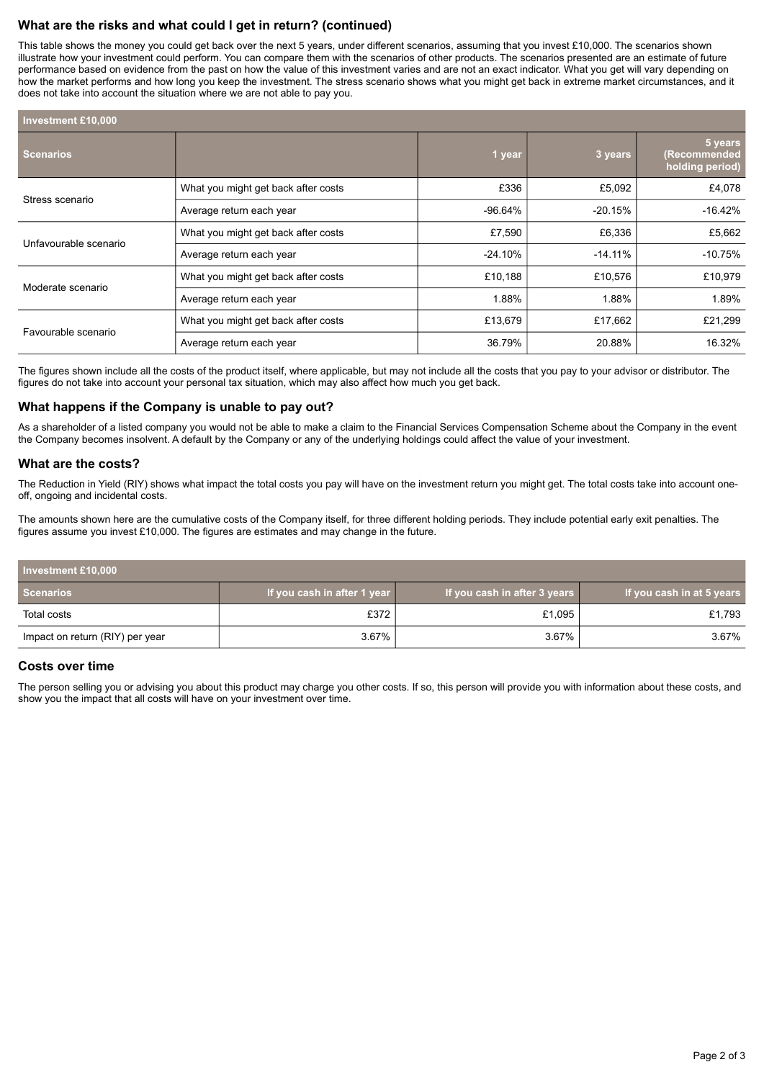# **What are the risks and what could I get in return? (continued)**

This table shows the money you could get back over the next 5 years, under different scenarios, assuming that you invest £10,000. The scenarios shown illustrate how your investment could perform. You can compare them with the scenarios of other products. The scenarios presented are an estimate of future performance based on evidence from the past on how the value of this investment varies and are not an exact indicator. What you get will vary depending on how the market performs and how long you keep the investment. The stress scenario shows what you might get back in extreme market circumstances, and it does not take into account the situation where we are not able to pay you.

| <b>Investment £10,000</b> |                                     |           |            |                                            |
|---------------------------|-------------------------------------|-----------|------------|--------------------------------------------|
| <b>Scenarios</b>          |                                     | 1 year    | 3 years    | 5 years<br>(Recommended<br>holding period) |
| Stress scenario           | What you might get back after costs | £336      | £5,092     | £4,078                                     |
|                           | Average return each year            | $-96.64%$ | $-20.15%$  | $-16.42%$                                  |
| Unfavourable scenario     | What you might get back after costs | £7,590    | £6,336     | £5,662                                     |
|                           | Average return each year            | $-24.10%$ | $-14.11\%$ | $-10.75%$                                  |
| Moderate scenario         | What you might get back after costs | £10,188   | £10,576    | £10,979                                    |
|                           | Average return each year            | 1.88%     | 1.88%      | 1.89%                                      |
| Favourable scenario       | What you might get back after costs | £13,679   | £17,662    | £21,299                                    |
|                           | Average return each year            | 36.79%    | 20.88%     | 16.32%                                     |

The figures shown include all the costs of the product itself, where applicable, but may not include all the costs that you pay to your advisor or distributor. The figures do not take into account your personal tax situation, which may also affect how much you get back.

## **What happens if the Company is unable to pay out?**

As a shareholder of a listed company you would not be able to make a claim to the Financial Services Compensation Scheme about the Company in the event the Company becomes insolvent. A default by the Company or any of the underlying holdings could affect the value of your investment.

#### **What are the costs?**

The Reduction in Yield (RIY) shows what impact the total costs you pay will have on the investment return you might get. The total costs take into account oneoff, ongoing and incidental costs.

The amounts shown here are the cumulative costs of the Company itself, for three different holding periods. They include potential early exit penalties. The figures assume you invest £10,000. The figures are estimates and may change in the future.

| Investment £10,000              |                             |                              |                           |  |  |
|---------------------------------|-----------------------------|------------------------------|---------------------------|--|--|
| <b>Scenarios</b>                | If you cash in after 1 year | If you cash in after 3 years | If you cash in at 5 years |  |  |
| Total costs                     | £372                        | £1,095                       | £1,793                    |  |  |
| Impact on return (RIY) per year | $3.67\%$                    | 3.67%                        | 3.67%                     |  |  |

## **Costs over time**

The person selling you or advising you about this product may charge you other costs. If so, this person will provide you with information about these costs, and show you the impact that all costs will have on your investment over time.